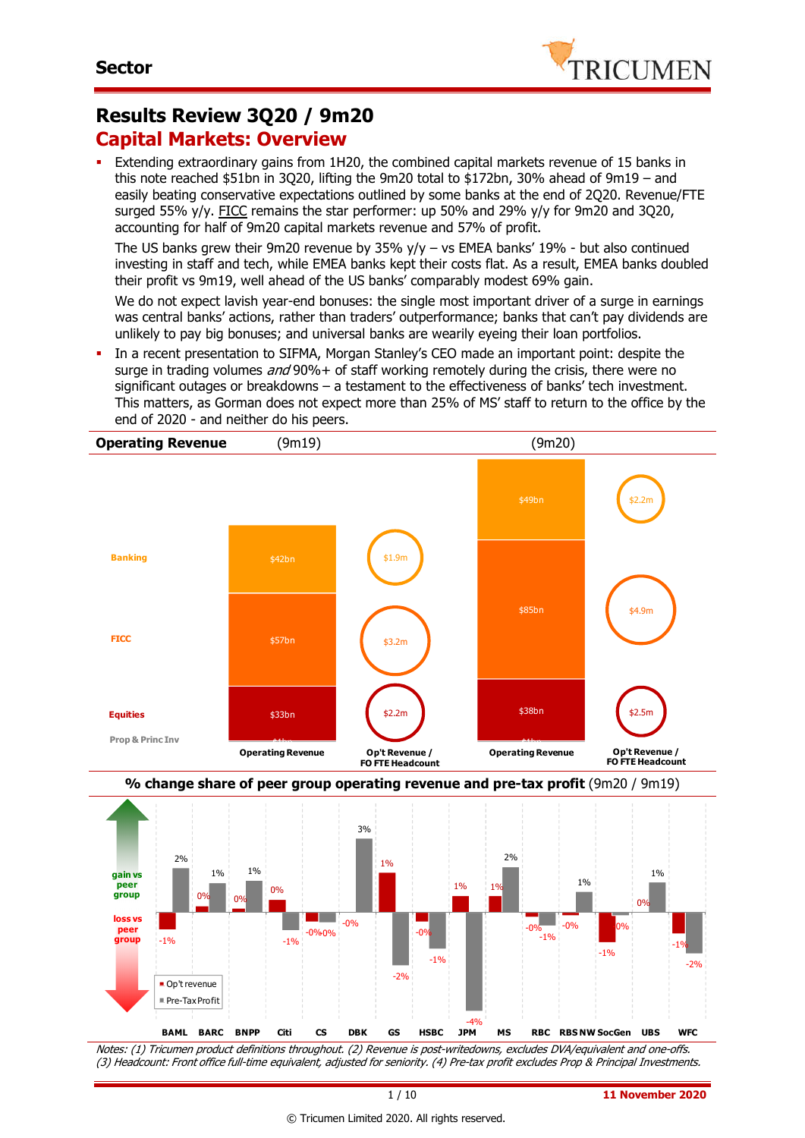

### **Results Review 3Q20 / 9m20 Capital Markets: Overview**

 Extending extraordinary gains from 1H20, the combined capital markets revenue of 15 banks in this note reached \$51bn in 3Q20, lifting the 9m20 total to \$172bn, 30% ahead of 9m19 – and easily beating conservative expectations outlined by some banks at the end of 2Q20. Revenue/FTE surged 55% y/y. FICC remains the star performer: up 50% and 29% y/y for 9m20 and 3Q20, accounting for half of 9m20 capital markets revenue and 57% of profit.

The US banks grew their 9m20 revenue by 35% y/y – vs EMEA banks' 19% - but also continued investing in staff and tech, while EMEA banks kept their costs flat. As a result, EMEA banks doubled their profit vs 9m19, well ahead of the US banks' comparably modest 69% gain.

We do not expect lavish year-end bonuses: the single most important driver of a surge in earnings was central banks' actions, rather than traders' outperformance; banks that can't pay dividends are unlikely to pay big bonuses; and universal banks are wearily eyeing their loan portfolios.

 In a recent presentation to SIFMA, Morgan Stanley's CEO made an important point: despite the surge in trading volumes and 90%+ of staff working remotely during the crisis, there were no significant outages or breakdowns – a testament to the effectiveness of banks' tech investment. This matters, as Gorman does not expect more than 25% of MS' staff to return to the office by the end of 2020 - and neither do his peers.





Notes: (1) Tricumen product definitions throughout. (2) Revenue is post-writedowns, excludes DVA/equivalent and one-offs. (3) Headcount: Front office full-time equivalent, adjusted for seniority. (4) Pre-tax profit excludes Prop & Principal Investments.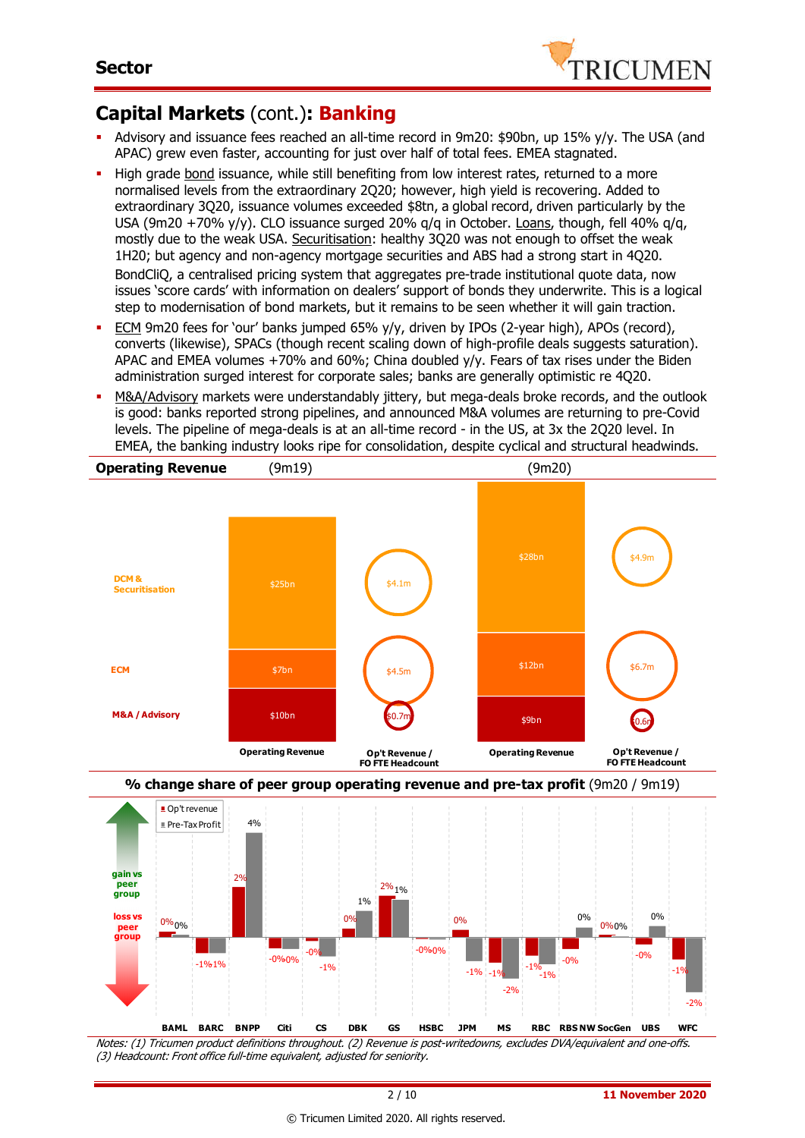

# **Capital Markets** (cont.)**: Banking**

- Advisory and issuance fees reached an all-time record in 9m20: \$90bn, up 15% y/y. The USA (and APAC) grew even faster, accounting for just over half of total fees. EMEA stagnated.
- High grade bond issuance, while still benefiting from low interest rates, returned to a more normalised levels from the extraordinary 2Q20; however, high yield is recovering. Added to extraordinary 3Q20, issuance volumes exceeded \$8tn, a global record, driven particularly by the USA (9m20 +70% y/y). CLO issuance surged 20% q/q in October. Loans, though, fell 40% q/q, mostly due to the weak USA. Securitisation: healthy 3Q20 was not enough to offset the weak 1H20; but agency and non-agency mortgage securities and ABS had a strong start in 4Q20. BondCliQ, a centralised pricing system that aggregates pre-trade institutional quote data, now issues 'score cards' with information on dealers' support of bonds they underwrite. This is a logical step to modernisation of bond markets, but it remains to be seen whether it will gain traction.
- ECM 9m20 fees for 'our' banks jumped 65% y/y, driven by IPOs (2-year high), APOs (record), converts (likewise), SPACs (though recent scaling down of high-profile deals suggests saturation). APAC and EMEA volumes +70% and 60%; China doubled y/y. Fears of tax rises under the Biden administration surged interest for corporate sales; banks are generally optimistic re 4Q20.
- M&A/Advisory markets were understandably jittery, but mega-deals broke records, and the outlook is good: banks reported strong pipelines, and announced M&A volumes are returning to pre-Covid levels. The pipeline of mega-deals is at an all-time record - in the US, at 3x the 2Q20 level. In EMEA, the banking industry looks ripe for consolidation, despite cyclical and structural headwinds.





Notes: (1) Tricumen product definitions throughout. (2) Revenue is post-writedowns, excludes DVA/equivalent and one-offs. (3) Headcount: Front office full-time equivalent, adjusted for seniority.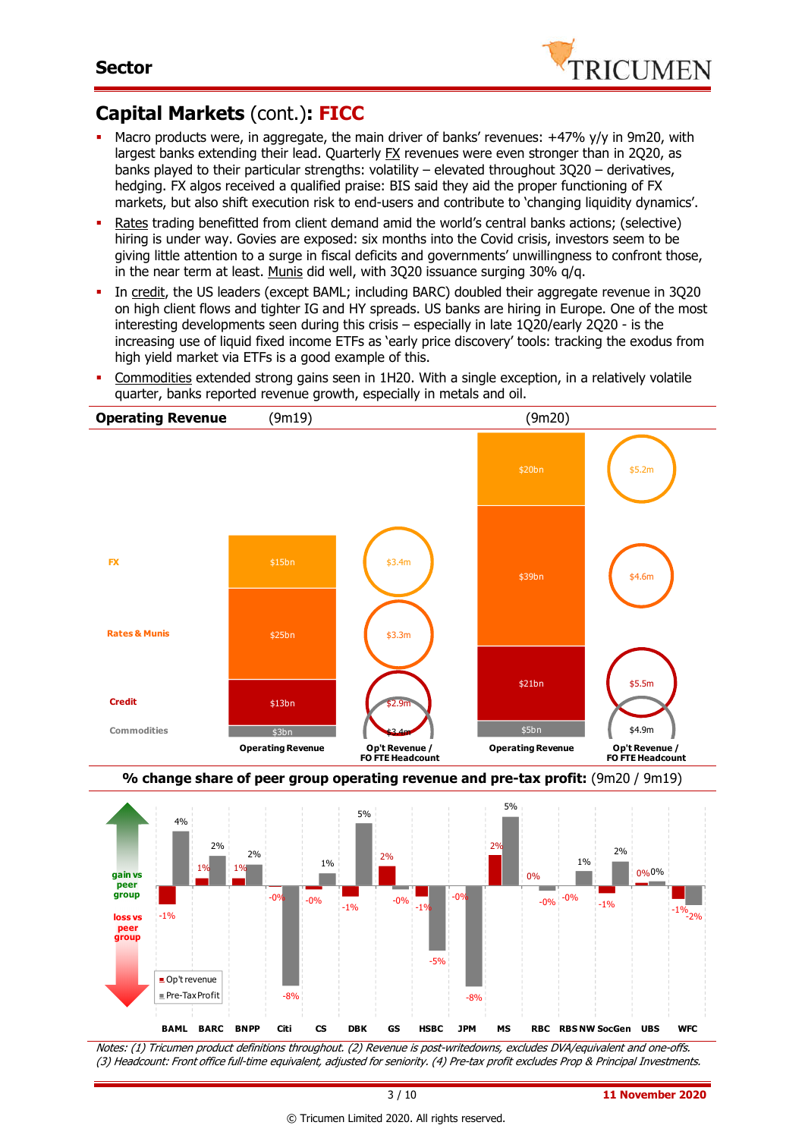

# **Capital Markets** (cont.)**: FICC**

- Macro products were, in aggregate, the main driver of banks' revenues: +47% y/y in 9m20, with largest banks extending their lead. Quarterly FX revenues were even stronger than in 2Q20, as banks played to their particular strengths: volatility – elevated throughout 3Q20 – derivatives, hedging. FX algos received a qualified praise: BIS said they aid the proper functioning of FX markets, but also shift execution risk to end-users and contribute to 'changing liquidity dynamics'.
- Rates trading benefitted from client demand amid the world's central banks actions; (selective) hiring is under way. Govies are exposed: six months into the Covid crisis, investors seem to be giving little attention to a surge in fiscal deficits and governments' unwillingness to confront those, in the near term at least. Munis did well, with 3Q20 issuance surging 30% q/q.
- In credit, the US leaders (except BAML; including BARC) doubled their aggregate revenue in 3Q20 on high client flows and tighter IG and HY spreads. US banks are hiring in Europe. One of the most interesting developments seen during this crisis – especially in late 1Q20/early 2Q20 - is the increasing use of liquid fixed income ETFs as 'early price discovery' tools: tracking the exodus from high yield market via ETFs is a good example of this.
- Commodities extended strong gains seen in 1H20. With a single exception, in a relatively volatile quarter, banks reported revenue growth, especially in metals and oil.







Notes: (1) Tricumen product definitions throughout. (2) Revenue is post-writedowns, excludes DVA/equivalent and one-offs. (3) Headcount: Front office full-time equivalent, adjusted for seniority. (4) Pre-tax profit excludes Prop & Principal Investments.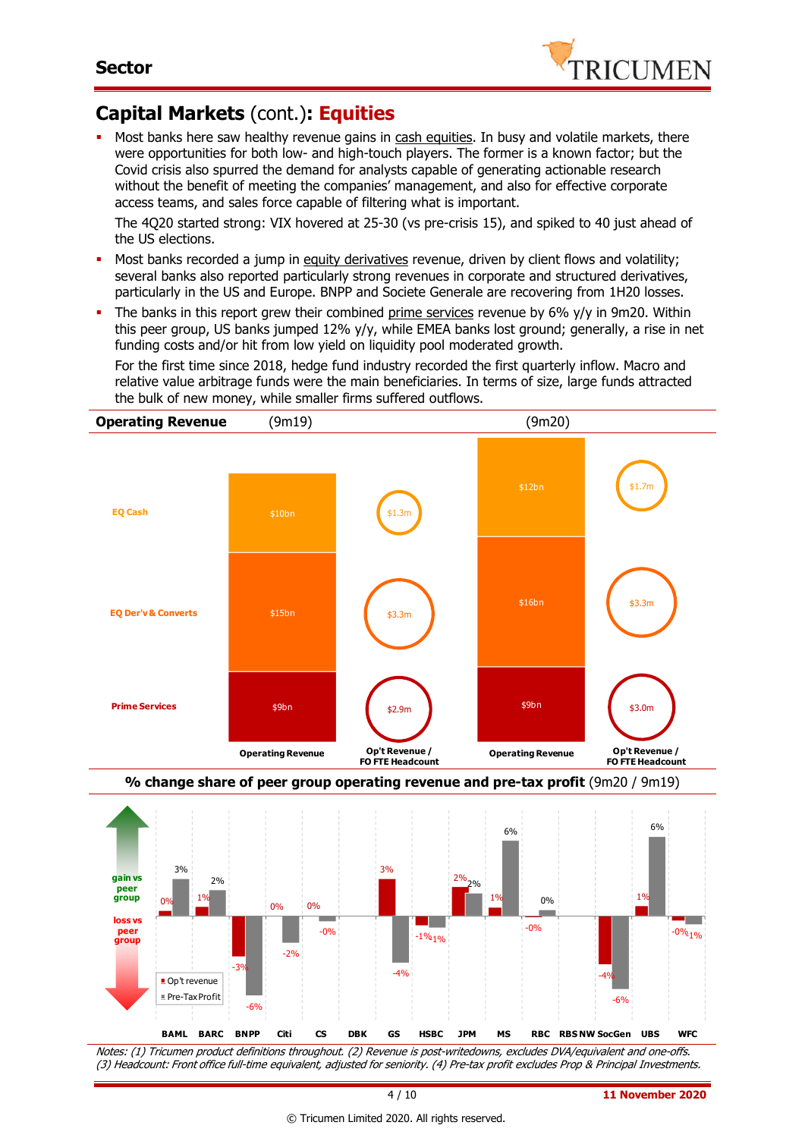

# **Capital Markets** (cont.)**: Equities**

Most banks here saw healthy revenue gains in cash equities. In busy and volatile markets, there were opportunities for both low- and high-touch players. The former is a known factor; but the Covid crisis also spurred the demand for analysts capable of generating actionable research without the benefit of meeting the companies' management, and also for effective corporate access teams, and sales force capable of filtering what is important.

The 4Q20 started strong: VIX hovered at 25-30 (vs pre-crisis 15), and spiked to 40 just ahead of the US elections.

- Most banks recorded a jump in equity derivatives revenue, driven by client flows and volatility; several banks also reported particularly strong revenues in corporate and structured derivatives, particularly in the US and Europe. BNPP and Societe Generale are recovering from 1H20 losses.
- The banks in this report grew their combined prime services revenue by 6% y/y in 9m20. Within this peer group, US banks jumped 12% y/y, while EMEA banks lost ground; generally, a rise in net funding costs and/or hit from low yield on liquidity pool moderated growth.

For the first time since 2018, hedge fund industry recorded the first quarterly inflow. Macro and relative value arbitrage funds were the main beneficiaries. In terms of size, large funds attracted the bulk of new money, while smaller firms suffered outflows.







Notes: (1) Tricumen product definitions throughout. (2) Revenue is post-writedowns, excludes DVA/equivalent and one-offs. (3) Headcount: Front office full-time equivalent, adjusted for seniority. (4) Pre-tax profit excludes Prop & Principal Investments.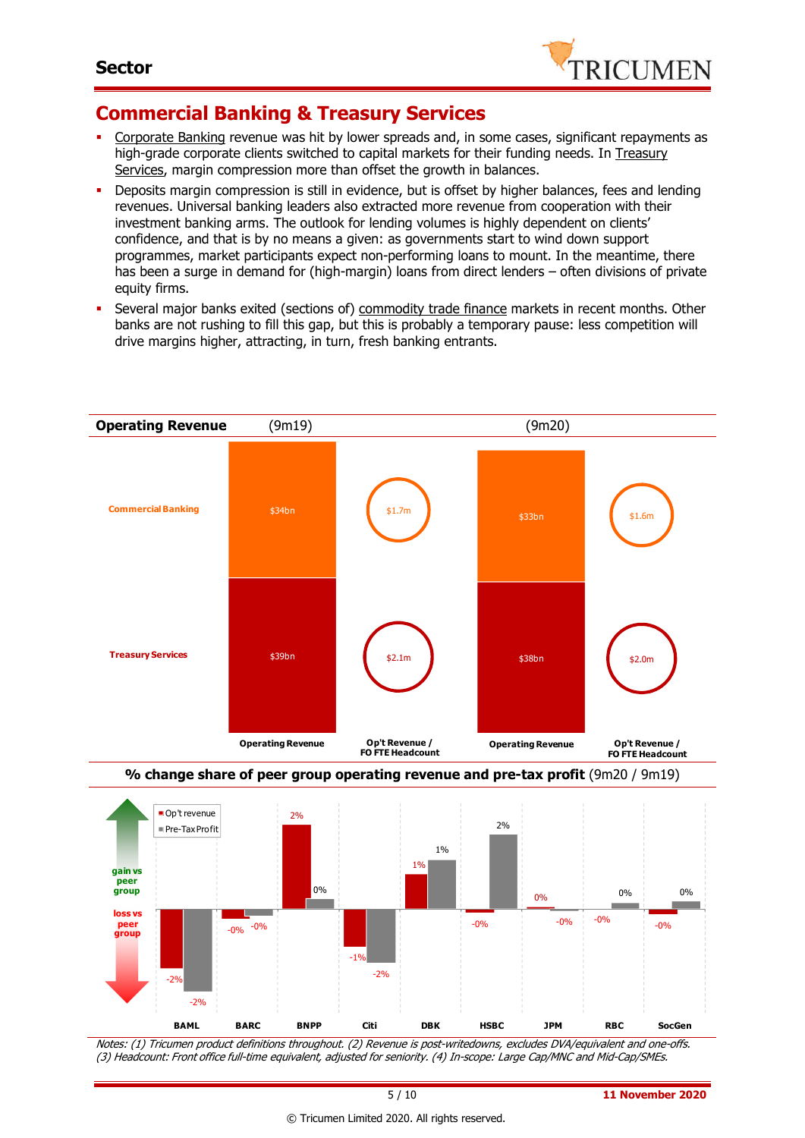

### **Commercial Banking & Treasury Services**

- Corporate Banking revenue was hit by lower spreads and, in some cases, significant repayments as high-grade corporate clients switched to capital markets for their funding needs. In Treasury Services, margin compression more than offset the growth in balances.
- **-** Deposits margin compression is still in evidence, but is offset by higher balances, fees and lending revenues. Universal banking leaders also extracted more revenue from cooperation with their investment banking arms. The outlook for lending volumes is highly dependent on clients' confidence, and that is by no means a given: as governments start to wind down support programmes, market participants expect non-performing loans to mount. In the meantime, there has been a surge in demand for (high-margin) loans from direct lenders – often divisions of private equity firms.
- Several major banks exited (sections of) commodity trade finance markets in recent months. Other banks are not rushing to fill this gap, but this is probably a temporary pause: less competition will drive margins higher, attracting, in turn, fresh banking entrants.







Notes: (1) Tricumen product definitions throughout. (2) Revenue is post-writedowns, excludes DVA/equivalent and one-offs. (3) Headcount: Front office full-time equivalent, adjusted for seniority. (4) In-scope: Large Cap/MNC and Mid-Cap/SMEs.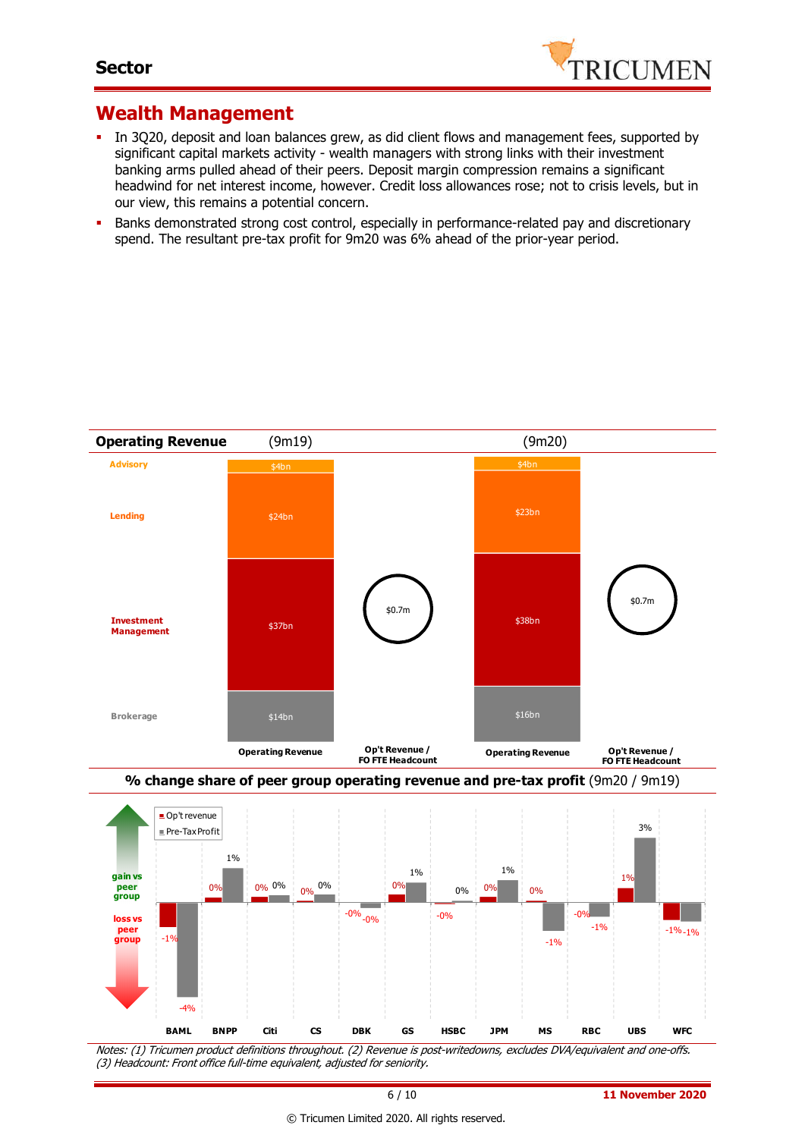

## **Wealth Management**

-1%

 $-4%$ 

- In 3Q20, deposit and loan balances grew, as did client flows and management fees, supported by significant capital markets activity - wealth managers with strong links with their investment banking arms pulled ahead of their peers. Deposit margin compression remains a significant headwind for net interest income, however. Credit loss allowances rose; not to crisis levels, but in our view, this remains a potential concern.
- **Banks demonstrated strong cost control, especially in performance-related pay and discretionary** spend. The resultant pre-tax profit for 9m20 was 6% ahead of the prior-year period.



Notes: (1) Tricumen product definitions throughout. (2) Revenue is post-writedowns, excludes DVA/equivalent and one-offs. (3) Headcount: Front office full-time equivalent, adjusted for seniority.

**BAML BNPP Citi CS DBK GS HSBC JPM MS RBC UBS WFC**

-1%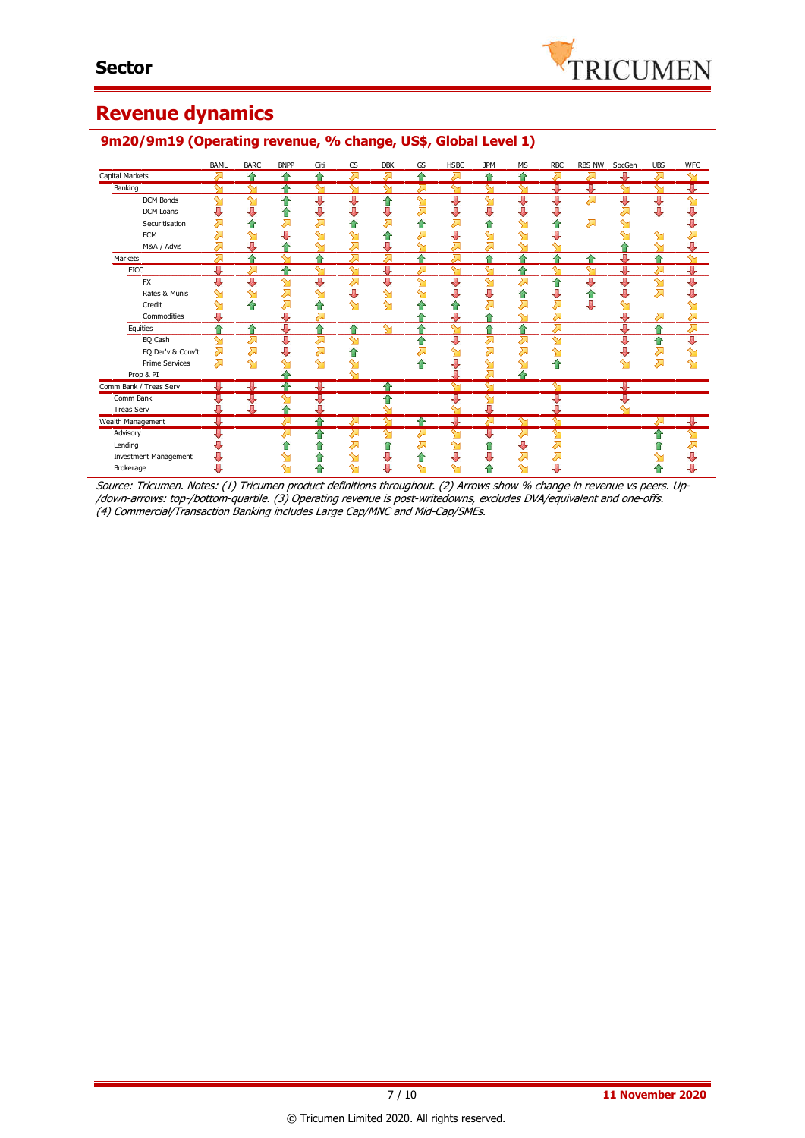# **Revenue dynamics**

#### **9m20/9m19 (Operating revenue, % change, US\$, Global Level 1)**

|                              | <b>BAML</b>        | <b>BARC</b> | <b>BNPP</b> | Citi | <b>CS</b>               | <b>DBK</b>         | GS           | <b>HSBC</b>              | <b>JPM</b>   | <b>MS</b>        | <b>RBC</b>         | <b>RBS NW</b> | SocGen          | <b>UBS</b>               | <b>WFC</b>         |
|------------------------------|--------------------|-------------|-------------|------|-------------------------|--------------------|--------------|--------------------------|--------------|------------------|--------------------|---------------|-----------------|--------------------------|--------------------|
| Capital Markets              | ⇗                  | ⇑           | ♠           | ≏    | ⋝                       | ⇗                  | 습            | ↗                        | ⇑            | 合                | ⋝                  | ⋝             | Д               | ⋝                        | ∾                  |
| Banking                      | $\overline{\ }$    | ∾           |             | ∾    | $\overline{\mathsf{C}}$ | $\overline{\ }$    | ⋝            | $\overline{\ }$          | ⇘            | ⇘                | ⇩                  | ⇩             | $\overline{\ }$ | $\mathbf{\widetilde{M}}$ | Д                  |
| DCM Bonds                    | $\mathbf{\hat{M}}$ | ∾           | ≏           | J    | J                       | 企                  | $\mathbf{M}$ | ⊕                        | $\mathbf{M}$ | ⇩                | €                  | ⋝             | J               | J                        | $\mathbf{\hat{y}}$ |
| DCM Loans                    | U                  | J           |             |      |                         |                    | 对            | ⇩                        | ⇩            | ⇩                | U                  |               |                 | J                        | ⇩                  |
| Securitisation               |                    | ⇑           | Σ           | ⋝    | n                       |                    | ⇧            | ⋝                        | ⇑            | ഷ                | ⋒                  | ⋝             |                 |                          |                    |
| <b>ECM</b>                   |                    | ∾           |             |      |                         | ⇑                  | 对            | U                        | ∾            | ∾                |                    |               |                 |                          |                    |
| M&A / Advis                  | 对                  | Л           |             |      | ↗                       | ⇩                  | ⇘            | Σ                        | Д            | $\sim$           |                    |               |                 | ∾                        | Л                  |
| Markets                      | 对                  | ♦           | $\sim$      |      |                         | ⋝                  |              | Σ                        | ♠            |                  | ♦                  | ♦             | J               |                          | ∼                  |
| <b>FICC</b>                  | Д                  | 对           |             | ∾    | ↬                       | ⊕                  | 对            | $\mathbf{\hat{y}}$       | ↬            | ♠                | $\mathbf{M}$       | ∾             | 寻               | 겨                        | Д                  |
| <b>FX</b>                    | Д                  | J           | ∾           | J    | ⋝                       | J                  | ↬            | J                        | ↬            | $\sum$           | ⇧                  | ⇩             | ⇩               | ഷ                        | ⇩                  |
| Rates & Munis                |                    | ↬           | 运           |      | J                       | ↬                  | ↬            |                          | J            | ⇑                | ⇩                  | ⇧             | J               | ⋝                        | U                  |
| Credit                       | ↬                  | ⇑           | 运           |      | ↬                       | ∾                  |              |                          | ↗            | ↗                | ᄌ                  | J             | ഷ               |                          |                    |
| Commodities                  | J                  |             | ⇩           | ⋝    |                         |                    |              | ⊕                        | ⇑            | $\mathbf{M}$     | ᄌ                  |               | ⊕               | ⋝                        |                    |
| Equities                     | ↷                  | 合           | Д           |      | ⇑                       | $\mathbf{\hat{y}}$ | ⇑            | $\sim$                   | 合            | 合                | ਨ                  |               | J               | ⇑                        | $\sum$             |
| EQ Cash                      | $\mathbf{\hat{y}}$ | ↗           | J           | ↗    | ↬                       |                    | ⇑            | ⇩                        | ↗            | 겨                | ഷ                  |               | ⇩               | ⋒                        | ⇩                  |
| EQ Der'v & Conv't            | ⋝                  | ⋝           | J           | ⋝    |                         |                    |              | ഷ                        | ↗            | $\sum$           | ഷ                  |               | ⊕               | ⋝                        |                    |
| <b>Prime Services</b>        | $\sum$             | $\sim$      |             | ∾    |                         |                    |              | IJ                       | ↬            | ↬                |                    |               | ∾               | Σ                        |                    |
| Prop & PI                    |                    |             |             |      | ∾                       |                    |              | J                        | ਨੀ           | ⇑                |                    |               |                 |                          |                    |
| Comm Bank / Treas Serv       | л                  | л           | ♦           | ⊕    |                         | ⇑                  |              | $\mathbf{\widetilde{S}}$ | ∾            |                  | $\mathbf{\hat{M}}$ |               | €               |                          |                    |
| Comm Bank                    | ⇩                  | ⇩           |             | ⇩    |                         |                    |              | ⇩                        | ഷ            |                  | ⇩                  |               | J               |                          |                    |
| <b>Treas Serv</b>            | U                  | Д           |             | U    |                         | ∾                  |              | $\mathbf{v}$             | IJ           |                  | ⇩                  |               |                 |                          |                    |
| Wealth Management            | 專                  |             | 对           | ^    | ⋝                       | $\overline{\ }$    | 合            | गु                       | ਨ            | $\mathbf \Omega$ | $\mathbf{\Omega}$  |               |                 | ⋝                        | ग्र                |
| Advisory                     | ⇩                  |             |             | ≏    | ⋝                       | ↬                  | ↗            | ∾                        | ⇩            | ふ                | ∾                  |               |                 |                          |                    |
| Lending                      |                    |             |             |      | ⋝                       | ⇑                  | ⋝            | ஊ                        | ⇑            | ⇩                | $\sum$             |               |                 |                          |                    |
| <b>Investment Management</b> |                    |             |             |      |                         | ⇩                  | ⇑            | ⊕                        | ⇩            | $\sum$           | 对                  |               |                 |                          |                    |
| Brokerage                    | U                  |             |             |      | ↬                       | ⇩                  | ↬            | $\mathbf{M}$             | ⇑            | $\mathbf{M}$     | U                  |               |                 |                          | U                  |

Source: Tricumen. Notes: (1) Tricumen product definitions throughout. (2) Arrows show % change in revenue vs peers. Up- /down-arrows: top-/bottom-quartile. (3) Operating revenue is post-writedowns, excludes DVA/equivalent and one-offs. (4) Commercial/Transaction Banking includes Large Cap/MNC and Mid-Cap/SMEs.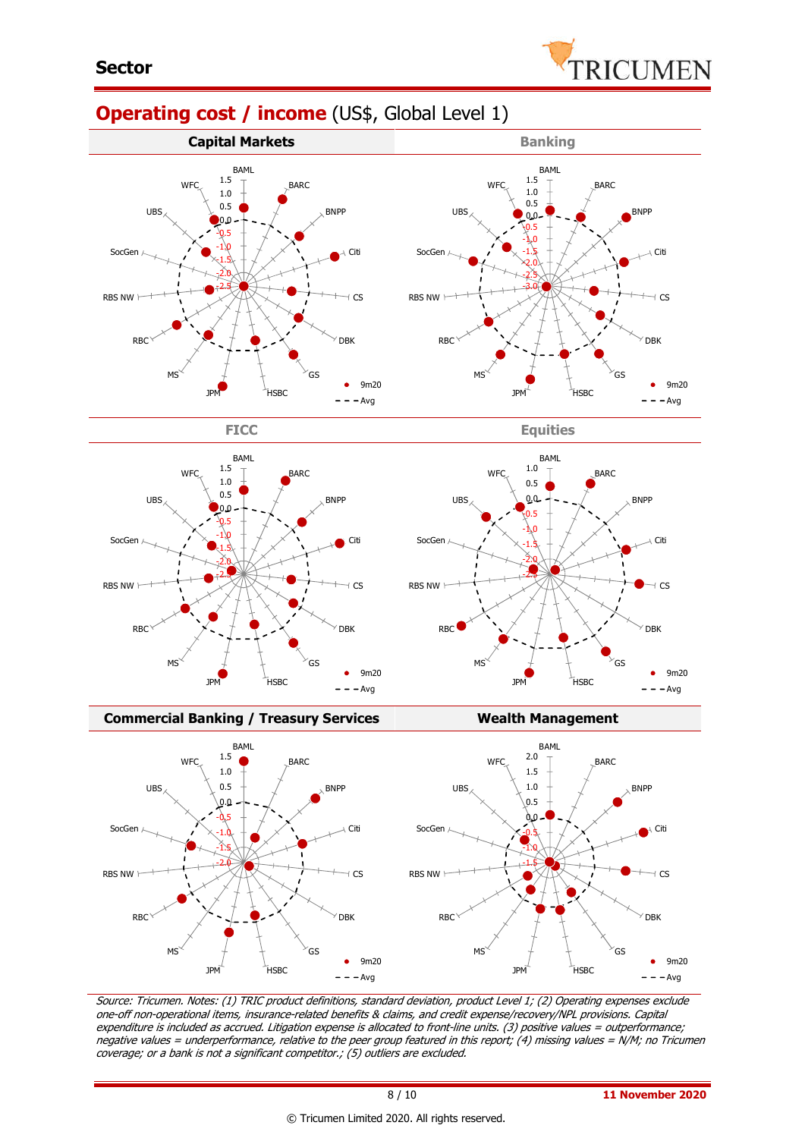

Citi

CS

9m20

# **Operating cost / income** (US\$, Global Level 1)







**FICC Equities**



**Commercial Banking / Treasury Services Wealth Management** 



Source: Tricumen. Notes: (1) TRIC product definitions, standard deviation, product Level 1; (2) Operating expenses exclude one-off non-operational items, insurance-related benefits & claims, and credit expense/recovery/NPL provisions. Capital expenditure is included as accrued. Litigation expense is allocated to front-line units. (3) positive values = outperformance; negative values = underperformance, relative to the peer group featured in this report; (4) missing values = N/M; no Tricumen coverage; or a bank is not a significant competitor.; (5) outliers are excluded.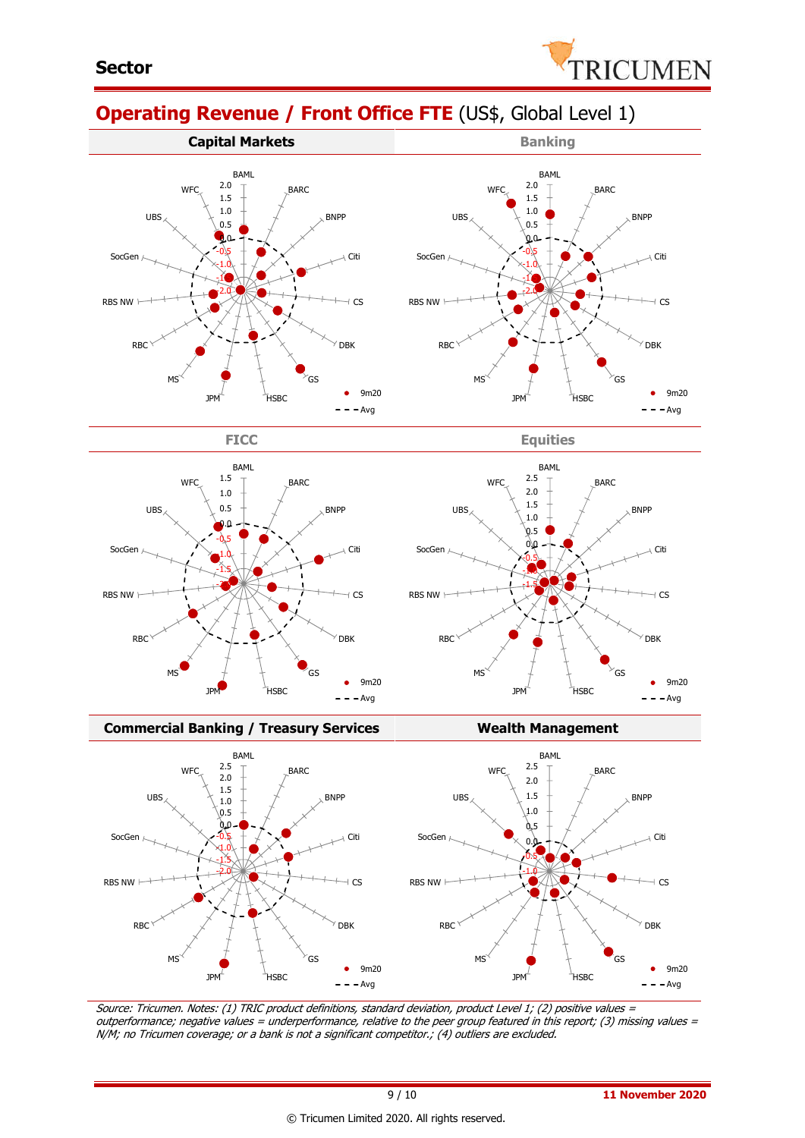

# **Operating Revenue / Front Office FTE** (US\$, Global Level 1)







**FICC Equities**



#### **Commercial Banking / Treasury Services Wealth Management**



Source: Tricumen. Notes: (1) TRIC product definitions, standard deviation, product Level 1; (2) positive values <sup>=</sup> outperformance; negative values = underperformance, relative to the peer group featured in this report; (3) missing values = N/M; no Tricumen coverage; or a bank is not a significant competitor.; (4) outliers are excluded.